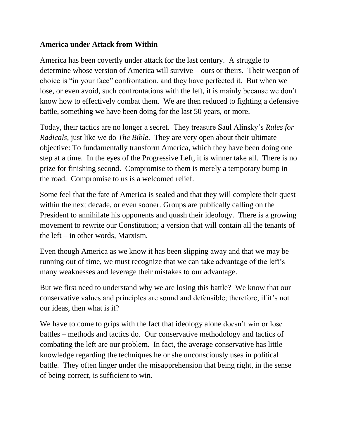## **America under Attack from Within**

America has been covertly under attack for the last century. A struggle to determine whose version of America will survive – ours or theirs. Their weapon of choice is "in your face" confrontation, and they have perfected it. But when we lose, or even avoid, such confrontations with the left, it is mainly because we don't know how to effectively combat them. We are then reduced to fighting a defensive battle, something we have been doing for the last 50 years, or more.

Today, their tactics are no longer a secret. They treasure Saul Alinsky's *Rules for Radicals,* just like we do *The Bible*. They are very open about their ultimate objective: To fundamentally transform America, which they have been doing one step at a time. In the eyes of the Progressive Left, it is winner take all. There is no prize for finishing second. Compromise to them is merely a temporary bump in the road. Compromise to us is a welcomed relief.

Some feel that the fate of America is sealed and that they will complete their quest within the next decade, or even sooner. Groups are publically calling on the President to annihilate his opponents and quash their ideology. There is a growing movement to rewrite our Constitution; a version that will contain all the tenants of the left – in other words, Marxism.

Even though America as we know it has been slipping away and that we may be running out of time, we must recognize that we can take advantage of the left's many weaknesses and leverage their mistakes to our advantage.

But we first need to understand why we are losing this battle? We know that our conservative values and principles are sound and defensible; therefore, if it's not our ideas, then what is it?

We have to come to grips with the fact that ideology alone doesn't win or lose battles – methods and tactics do. Our conservative methodology and tactics of combating the left are our problem. In fact, the average conservative has little knowledge regarding the techniques he or she unconsciously uses in political battle. They often linger under the misapprehension that being right, in the sense of being correct, is sufficient to win.